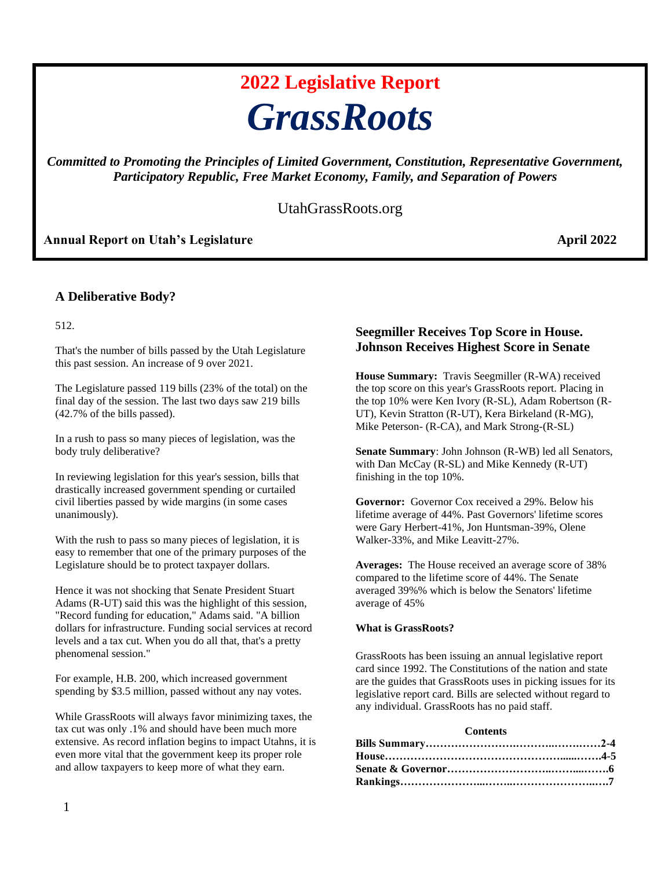# **2022 Legislative Report** *GrassRoots*

*Committed to Promoting the Principles of Limited Government, Constitution, Representative Government, Participatory Republic, Free Market Economy, Family, and Separation of Powers*

### UtahGrassRoots.org

#### Annual Report on Utah's Legislature **April 2022**

#### **A Deliberative Body?**

512.

That's the number of bills passed by the Utah Legislature this past session. An increase of 9 over 2021.

The Legislature passed 119 bills (23% of the total) on the final day of the session. The last two days saw 219 bills (42.7% of the bills passed).

In a rush to pass so many pieces of legislation, was the body truly deliberative?

In reviewing legislation for this year's session, bills that drastically increased government spending or curtailed civil liberties passed by wide margins (in some cases unanimously).

With the rush to pass so many pieces of legislation, it is easy to remember that one of the primary purposes of the Legislature should be to protect taxpayer dollars.

Hence it was not shocking that Senate President Stuart Adams (R-UT) said this was the highlight of this session, "Record funding for education," Adams said. "A billion dollars for infrastructure. Funding social services at record levels and a tax cut. When you do all that, that's a pretty phenomenal session."

For example, H.B. 200, which increased government spending by \$3.5 million, passed without any nay votes.

While GrassRoots will always favor minimizing taxes, the tax cut was only .1% and should have been much more extensive. As record inflation begins to impact Utahns, it is even more vital that the government keep its proper role and allow taxpayers to keep more of what they earn.

#### **Seegmiller Receives Top Score in House. Johnson Receives Highest Score in Senate**

**House Summary:** Travis Seegmiller (R-WA) received the top score on this year's GrassRoots report. Placing in the top 10% were Ken Ivory (R-SL), Adam Robertson (R-UT), Kevin Stratton (R-UT), Kera Birkeland (R-MG), Mike Peterson- (R-CA), and Mark Strong-(R-SL)

**Senate Summary**: John Johnson (R-WB) led all Senators, with Dan McCay (R-SL) and Mike Kennedy (R-UT) finishing in the top 10%.

**Governor:** Governor Cox received a 29%. Below his lifetime average of 44%. Past Governors' lifetime scores were Gary Herbert-41%, Jon Huntsman-39%, Olene Walker-33%, and Mike Leavitt-27%.

**Averages:** The House received an average score of 38% compared to the lifetime score of 44%. The Senate averaged 39%% which is below the Senators' lifetime average of 45%

#### **What is GrassRoots?**

GrassRoots has been issuing an annual legislative report card since 1992. The Constitutions of the nation and state are the guides that GrassRoots uses in picking issues for its legislative report card. Bills are selected without regard to any individual. GrassRoots has no paid staff.

#### **Contents**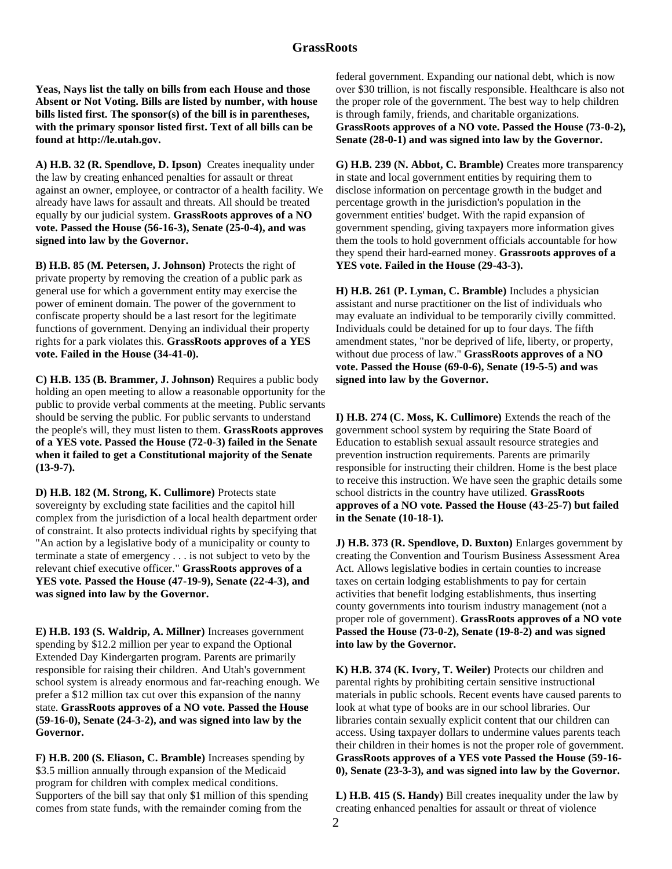**Yeas, Nays list the tally on bills from each House and those Absent or Not Voting. Bills are listed by number, with house bills listed first. The sponsor(s) of the bill is in parentheses, with the primary sponsor listed first. Text of all bills can be found at http://le.utah.gov.** 

**A) H.B. 32 (R. Spendlove, D. Ipson)** Creates inequality under the law by creating enhanced penalties for assault or threat against an owner, employee, or contractor of a health facility. We already have laws for assault and threats. All should be treated equally by our judicial system. **GrassRoots approves of a NO vote. Passed the House (56-16-3), Senate (25-0-4), and was signed into law by the Governor.**

**B) H.B. 85 (M. Petersen, J. Johnson)** Protects the right of private property by removing the creation of a public park as general use for which a government entity may exercise the power of eminent domain. The power of the government to confiscate property should be a last resort for the legitimate functions of government. Denying an individual their property rights for a park violates this. **GrassRoots approves of a YES vote. Failed in the House (34-41-0).** 

**C) H.B. 135 (B. Brammer, J. Johnson)** Requires a public body holding an open meeting to allow a reasonable opportunity for the public to provide verbal comments at the meeting. Public servants should be serving the public. For public servants to understand the people's will, they must listen to them. **GrassRoots approves of a YES vote. Passed the House (72-0-3) failed in the Senate when it failed to get a Constitutional majority of the Senate (13-9-7).** 

**D) H.B. 182 (M. Strong, K. Cullimore)** Protects state sovereignty by excluding state facilities and the capitol hill complex from the jurisdiction of a local health department order of constraint. It also protects individual rights by specifying that "An action by a legislative body of a municipality or county to terminate a state of emergency . . . is not subject to veto by the relevant chief executive officer." **GrassRoots approves of a YES vote. Passed the House (47-19-9), Senate (22-4-3), and was signed into law by the Governor.** 

**E) H.B. 193 (S. Waldrip, A. Millner)** Increases government spending by \$12.2 million per year to expand the Optional Extended Day Kindergarten program. Parents are primarily responsible for raising their children. And Utah's government school system is already enormous and far-reaching enough. We prefer a \$12 million tax cut over this expansion of the nanny state. **GrassRoots approves of a NO vote. Passed the House (59-16-0), Senate (24-3-2), and was signed into law by the Governor.** 

**F) H.B. 200 (S. Eliason, C. Bramble)** Increases spending by \$3.5 million annually through expansion of the Medicaid program for children with complex medical conditions. Supporters of the bill say that only \$1 million of this spending comes from state funds, with the remainder coming from the

federal government. Expanding our national debt, which is now over \$30 trillion, is not fiscally responsible. Healthcare is also not the proper role of the government. The best way to help children is through family, friends, and charitable organizations. **GrassRoots approves of a NO vote. Passed the House (73-0-2), Senate (28-0-1) and was signed into law by the Governor.** 

**G) H.B. 239 (N. Abbot, C. Bramble)** Creates more transparency in state and local government entities by requiring them to disclose information on percentage growth in the budget and percentage growth in the jurisdiction's population in the government entities' budget. With the rapid expansion of government spending, giving taxpayers more information gives them the tools to hold government officials accountable for how they spend their hard-earned money. **Grassroots approves of a YES vote. Failed in the House (29-43-3).** 

**H) H.B. 261 (P. Lyman, C. Bramble)** Includes a physician assistant and nurse practitioner on the list of individuals who may evaluate an individual to be temporarily civilly committed. Individuals could be detained for up to four days. The fifth amendment states, "nor be deprived of life, liberty, or property, without due process of law." **GrassRoots approves of a NO vote. Passed the House (69-0-6), Senate (19-5-5) and was signed into law by the Governor.** 

**I) H.B. 274 (C. Moss, K. Cullimore)** Extends the reach of the government school system by requiring the State Board of Education to establish sexual assault resource strategies and prevention instruction requirements. Parents are primarily responsible for instructing their children. Home is the best place to receive this instruction. We have seen the graphic details some school districts in the country have utilized. **GrassRoots approves of a NO vote. Passed the House (43-25-7) but failed in the Senate (10-18-1).** 

**J) H.B. 373 (R. Spendlove, D. Buxton)** Enlarges government by creating the Convention and Tourism Business Assessment Area Act. Allows legislative bodies in certain counties to increase taxes on certain lodging establishments to pay for certain activities that benefit lodging establishments, thus inserting county governments into tourism industry management (not a proper role of government). **GrassRoots approves of a NO vote Passed the House (73-0-2), Senate (19-8-2) and was signed into law by the Governor.** 

**K) H.B. 374 (K. Ivory, T. Weiler)** Protects our children and parental rights by prohibiting certain sensitive instructional materials in public schools. Recent events have caused parents to look at what type of books are in our school libraries. Our libraries contain sexually explicit content that our children can access. Using taxpayer dollars to undermine values parents teach their children in their homes is not the proper role of government. **GrassRoots approves of a YES vote Passed the House (59-16- 0), Senate (23-3-3), and was signed into law by the Governor.** 

**L) H.B. 415 (S. Handy)** Bill creates inequality under the law by creating enhanced penalties for assault or threat of violence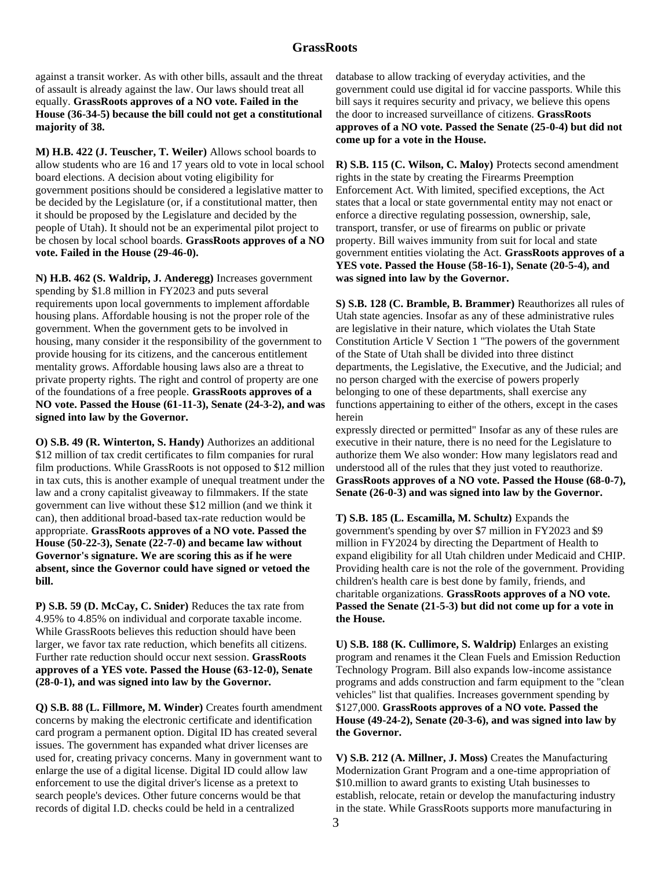against a transit worker. As with other bills, assault and the threat of assault is already against the law. Our laws should treat all equally. **GrassRoots approves of a NO vote. Failed in the House (36-34-5) because the bill could not get a constitutional majority of 38.** 

**M) H.B. 422 (J. Teuscher, T. Weiler)** Allows school boards to allow students who are 16 and 17 years old to vote in local school board elections. A decision about voting eligibility for government positions should be considered a legislative matter to be decided by the Legislature (or, if a constitutional matter, then it should be proposed by the Legislature and decided by the people of Utah). It should not be an experimental pilot project to be chosen by local school boards. **GrassRoots approves of a NO vote. Failed in the House (29-46-0).** 

**N) H.B. 462 (S. Waldrip, J. Anderegg)** Increases government spending by \$1.8 million in FY2023 and puts several requirements upon local governments to implement affordable housing plans. Affordable housing is not the proper role of the government. When the government gets to be involved in housing, many consider it the responsibility of the government to provide housing for its citizens, and the cancerous entitlement mentality grows. Affordable housing laws also are a threat to private property rights. The right and control of property are one of the foundations of a free people. **GrassRoots approves of a NO vote. Passed the House (61-11-3), Senate (24-3-2), and was signed into law by the Governor.** 

**O) S.B. 49 (R. Winterton, S. Handy)** Authorizes an additional \$12 million of tax credit certificates to film companies for rural film productions. While GrassRoots is not opposed to \$12 million in tax cuts, this is another example of unequal treatment under the law and a crony capitalist giveaway to filmmakers. If the state government can live without these \$12 million (and we think it can), then additional broad-based tax-rate reduction would be appropriate. **GrassRoots approves of a NO vote. Passed the House (50-22-3), Senate (22-7-0) and became law without Governor's signature. We are scoring this as if he were absent, since the Governor could have signed or vetoed the bill.**

**P) S.B. 59 (D. McCay, C. Snider)** Reduces the tax rate from 4.95% to 4.85% on individual and corporate taxable income. While GrassRoots believes this reduction should have been larger, we favor tax rate reduction, which benefits all citizens. Further rate reduction should occur next session. **GrassRoots approves of a YES vote. Passed the House (63-12-0), Senate (28-0-1), and was signed into law by the Governor.**

**Q) S.B. 88 (L. Fillmore, M. Winder)** Creates fourth amendment concerns by making the electronic certificate and identification card program a permanent option. Digital ID has created several issues. The government has expanded what driver licenses are used for, creating privacy concerns. Many in government want to enlarge the use of a digital license. Digital ID could allow law enforcement to use the digital driver's license as a pretext to search people's devices. Other future concerns would be that records of digital I.D. checks could be held in a centralized

database to allow tracking of everyday activities, and the government could use digital id for vaccine passports. While this bill says it requires security and privacy, we believe this opens the door to increased surveillance of citizens. **GrassRoots approves of a NO vote. Passed the Senate (25-0-4) but did not come up for a vote in the House.** 

**R) S.B. 115 (C. Wilson, C. Maloy)** Protects second amendment rights in the state by creating the Firearms Preemption Enforcement Act. With limited, specified exceptions, the Act states that a local or state governmental entity may not enact or enforce a directive regulating possession, ownership, sale, transport, transfer, or use of firearms on public or private property. Bill waives immunity from suit for local and state government entities violating the Act. **GrassRoots approves of a YES vote. Passed the House (58-16-1), Senate (20-5-4), and was signed into law by the Governor.** 

**S) S.B. 128 (C. Bramble, B. Brammer)** Reauthorizes all rules of Utah state agencies. Insofar as any of these administrative rules are legislative in their nature, which violates the Utah State Constitution Article V Section 1 "The powers of the government of the State of Utah shall be divided into three distinct departments, the Legislative, the Executive, and the Judicial; and no person charged with the exercise of powers properly belonging to one of these departments, shall exercise any functions appertaining to either of the others, except in the cases herein

expressly directed or permitted" Insofar as any of these rules are executive in their nature, there is no need for the Legislature to authorize them We also wonder: How many legislators read and understood all of the rules that they just voted to reauthorize. **GrassRoots approves of a NO vote. Passed the House (68-0-7), Senate (26-0-3) and was signed into law by the Governor.** 

**T) S.B. 185 (L. Escamilla, M. Schultz)** Expands the government's spending by over \$7 million in FY2023 and \$9 million in FY2024 by directing the Department of Health to expand eligibility for all Utah children under Medicaid and CHIP. Providing health care is not the role of the government. Providing children's health care is best done by family, friends, and charitable organizations. **GrassRoots approves of a NO vote. Passed the Senate (21-5-3) but did not come up for a vote in the House.** 

**U) S.B. 188 (K. Cullimore, S. Waldrip)** Enlarges an existing program and renames it the Clean Fuels and Emission Reduction Technology Program. Bill also expands low-income assistance programs and adds construction and farm equipment to the "clean vehicles" list that qualifies. Increases government spending by \$127,000. **GrassRoots approves of a NO vote. Passed the House (49-24-2), Senate (20-3-6), and was signed into law by the Governor.** 

**V) S.B. 212 (A. Millner, J. Moss)** Creates the Manufacturing Modernization Grant Program and a one-time appropriation of \$10.million to award grants to existing Utah businesses to establish, relocate, retain or develop the manufacturing industry in the state. While GrassRoots supports more manufacturing in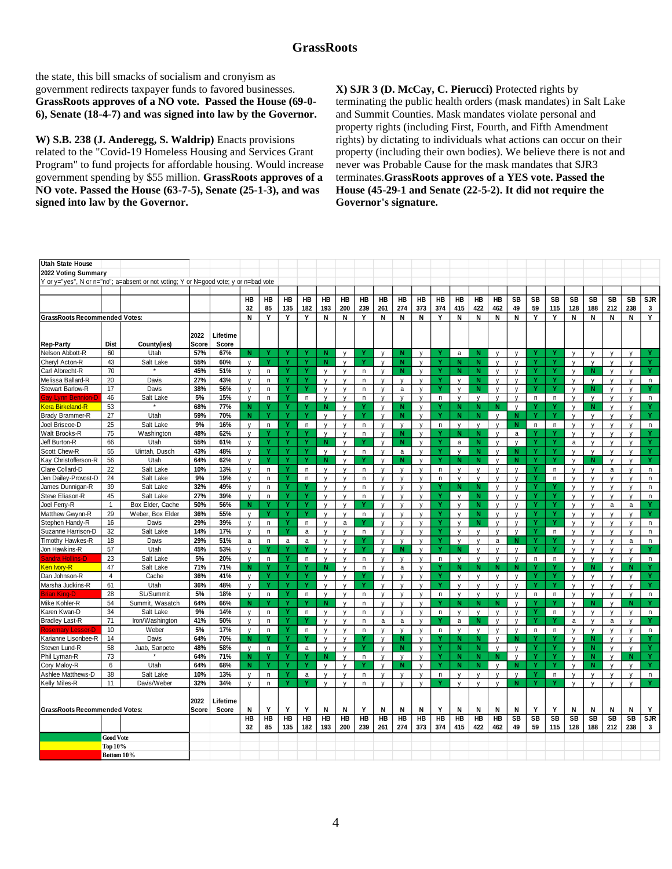the state, this bill smacks of socialism and cronyism as government redirects taxpayer funds to favored businesses. **GrassRoots approves of a NO vote. Passed the House (69-0- 6), Senate (18-4-7) and was signed into law by the Governor.** 

**W) S.B. 238 (J. Anderegg, S. Waldrip)** Enacts provisions related to the "Covid-19 Homeless Housing and Services Grant Program" to fund projects for affordable housing. Would increase government spending by \$55 million. **GrassRoots approves of a NO vote. Passed the House (63-7-5), Senate (25-1-3), and was signed into law by the Governor.** 

**X) SJR 3 (D. McCay, C. Pierucci)** Protected rights by terminating the public health orders (mask mandates) in Salt Lake and Summit Counties. Mask mandates violate personal and property rights (including First, Fourth, and Fifth Amendment rights) by dictating to individuals what actions can occur on their property (including their own bodies). We believe there is not and never was Probable Cause for the mask mandates that SJR3 terminates.**GrassRoots approves of a YES vote. Passed the House (45-29-1 and Senate (22-5-2). It did not require the Governor's signature.** 

| <b>Utah State House</b>              |                       |                                                                                      |            |            |                   |              |           |              |                   |                              |              |                              |              |                   |              |                   |                   |              |                   |          |              |                   |              |                   |                   |            |
|--------------------------------------|-----------------------|--------------------------------------------------------------------------------------|------------|------------|-------------------|--------------|-----------|--------------|-------------------|------------------------------|--------------|------------------------------|--------------|-------------------|--------------|-------------------|-------------------|--------------|-------------------|----------|--------------|-------------------|--------------|-------------------|-------------------|------------|
| 2022 Voting Summary                  |                       |                                                                                      |            |            |                   |              |           |              |                   |                              |              |                              |              |                   |              |                   |                   |              |                   |          |              |                   |              |                   |                   |            |
|                                      |                       | Y or y="yes", N or n="no"; a=absent or not voting; Y or N=good vote; y or n=bad vote |            |            |                   |              |           |              |                   |                              |              |                              |              |                   |              |                   |                   |              |                   |          |              |                   |              |                   |                   |            |
|                                      |                       |                                                                                      |            |            |                   |              | HB        | HB           |                   | HB                           |              | HB                           | HB           |                   |              | HB                |                   |              |                   |          |              |                   |              | SB                |                   | SJR        |
|                                      |                       |                                                                                      |            |            | HB<br>32          | HB<br>85     | 135       | 182          | HB<br>193         | 200                          | HB<br>239    | 261                          | 274          | HB<br>373         | HB<br>374    | 415               | HB<br>422         | HB<br>462    | SB<br>49          | SB<br>59 | SB<br>115    | SB<br>128         | SB<br>188    | 212               | SB<br>238         | 3          |
| <b>GrassRoots Recommended Votes:</b> |                       |                                                                                      |            |            | N                 | Y            | Y         | Y            | N                 | N                            | Y            | N                            | N            | N                 | Y            | Ν                 | Ν                 | N            | N                 | Y        | Y            | Ν                 | Ν            | N                 | Ν                 | Y          |
|                                      |                       |                                                                                      |            |            |                   |              |           |              |                   |                              |              |                              |              |                   |              |                   |                   |              |                   |          |              |                   |              |                   |                   |            |
|                                      |                       |                                                                                      | 2022       | Lifetime   |                   |              |           |              |                   |                              |              |                              |              |                   |              |                   |                   |              |                   |          |              |                   |              |                   |                   |            |
| <b>Rep-Party</b>                     | Dist                  | County(ies)                                                                          | Score      | Score      |                   |              |           |              |                   |                              |              |                              |              |                   |              |                   |                   |              |                   |          |              |                   |              |                   |                   |            |
| Nelson Abbott-R                      | 60                    | Utah                                                                                 | 57%        | 67%        | N                 | Υ            |           | Y            | N                 | $\mathsf{v}$                 | Ÿ            | $\mathsf{V}$                 | $\mathbf N$  | $\mathsf{v}$      | Y            | a                 | N                 | $\mathsf{v}$ | $\mathbf{v}$      | Y        |              | $\mathsf{v}$      | $\mathsf{v}$ | $\mathsf{V}$      | $\mathsf{v}$      | Y          |
| Cheryl Acton-R                       | 43                    | Salt Lake                                                                            | 55%        | 60%        | $\mathsf{V}$      |              |           | Ÿ            | N                 | $\mathsf{V}$                 | Ÿ            | $\mathsf{v}$                 | $\mathbf N$  | $\mathsf{V}$      | Ÿ            | N                 | N                 | v            | V                 | Ÿ        |              | V                 | $\mathsf{v}$ | v                 | V                 | Ÿ          |
| Carl Albrecht-R                      | 70                    |                                                                                      | 45%        | 51%        | $\mathsf{v}$      | n.           |           |              |                   | $\mathsf{v}$                 | n            | $\mathsf{v}$                 | N            | $\mathsf{v}$      |              | N                 | N                 | v            | $\mathsf{v}$      |          |              | $\mathbf{v}$      | N            | v                 | $\mathsf{V}$      |            |
| Melissa Ballard-R                    | 20                    | Davis                                                                                | 27%        | 43%        | $\mathsf{v}$      | n            |           | Y            | $\mathbf v$       | $\mathsf{v}$                 | n            | $\mathbf{v}$                 | $\mathsf{V}$ | $\mathsf{v}$      | v            | $\mathsf{V}$      | N                 | $\mathsf{v}$ | $\mathbf{v}$      | v        | ۷            | $\mathsf{V}$      | $\mathsf{v}$ | $\mathsf{V}$      | $\mathsf{V}$      | n          |
| Stewart Barlow-R                     | 17                    | Davis                                                                                | 38%        | 56%        | $\mathsf{v}$      | $\mathsf{n}$ |           |              | V                 | $\mathsf{V}$                 | n            | $\mathsf{V}$                 | a            | V                 |              | $\mathsf{V}$      | N                 | v            | V                 |          |              | V                 | N            | v                 | V                 |            |
| <u> Sav Lvnn Bennion-C</u>           | 46                    | Salt Lake                                                                            | 5%         | 15%        | $\mathsf{v}$      | n.           | Ÿ         | n.           | $\mathsf{v}$      | $\mathsf{v}$                 | n            | $\mathsf{v}$                 | $\mathsf{v}$ | $\mathsf{v}$      | n            | $\mathsf{v}$      | $\mathsf{v}$      | $\mathsf{v}$ | $\mathbf{v}$      | n        | n            | $\mathsf{v}$      | $\mathsf{v}$ | $\mathsf{v}$      | $\mathsf{v}$      | n.         |
| Kera Birkeland-R                     | 53                    |                                                                                      | 68%        | 77%        | N                 |              |           | Y            | N                 | $\mathsf{V}$                 | Υ            | $\mathsf{V}$                 | N            | $\mathsf{V}$      | Y            | N                 | N                 | N            | $\mathsf{V}$      |          |              | $\mathsf{V}$      | N            | $\mathsf{v}$      | $\mathsf{V}$      |            |
| Brady Brammer-R                      | 27                    | Utah                                                                                 | 59%        | 70%        | N                 |              |           | Ÿ            | V                 | $\mathsf{V}$                 | Ÿ            | $\mathsf{v}$                 | N            | $\mathsf{v}$      | Ÿ            | N                 | N                 | $\mathsf{V}$ | N                 |          |              | $\mathsf{v}$      | $\mathsf{V}$ | V                 | $\mathsf{v}$      |            |
| Joel Briscoe-D                       | 25                    | Salt Lake                                                                            | 9%         | 16%        | $\mathsf{V}$      | n            |           | n            | $\mathsf{V}$      | $\mathsf{v}$                 | n            | $\mathsf{v}$                 | $\mathsf{V}$ | $\mathsf{v}$      | n            | $\mathsf{V}$      | $\mathsf{v}$      | V            | N                 | n        | n            | $\mathsf{V}$      | V            | $\mathsf{v}$      | $\mathsf{v}$      | n          |
| Walt Brooks-R                        | 75                    | Washington                                                                           | 48%        | 62%        | $\mathsf{v}$      |              |           | Y            | <b>V</b>          | $\mathsf{v}$                 | n            | V                            | N            | V                 | Y            | N                 | N                 | v            | a                 | Y        |              | $\mathsf{V}$      | V            | v                 | V                 |            |
| Jeff Burton-R                        | 66                    | Utah                                                                                 | 55%        | 61%        | $\mathsf{v}$      |              |           |              | N                 | $\mathsf{v}$                 |              | $\mathsf{v}$                 | N            | $\mathsf{V}$      |              | a                 | N                 | v            | $\mathsf{v}$      |          |              | a                 | V            | V                 | $\mathsf{V}$      |            |
| Scott Chew-R                         | 55                    | Uintah, Dusch                                                                        | 43%        | 48%        | $\mathsf{v}$      | Y            | ۷         | Y            | $\mathsf{v}$      | $\mathsf{V}$                 | $\mathsf n$  | $\mathsf{v}$                 | a            | $\mathsf{v}$      | Ÿ            | $\mathsf{v}$      | N                 | $\mathsf{v}$ | N                 | ۷        | Ÿ            | $\mathsf{V}$      | $\mathsf{V}$ | V                 | $\mathsf{v}$      | Ÿ          |
| Kay Christofferson-R                 | 56                    | Utah                                                                                 | 64%        | 62%        | $\mathsf{V}$      |              |           |              | N                 | $\mathsf{v}$                 |              | $\mathsf{v}$                 | N            | $\mathsf{V}$      |              | N                 | N                 | $\mathsf{v}$ | N                 |          |              | $\mathsf{v}$      | N            | $\mathsf{v}$      | $\mathsf{V}$      |            |
| Clare Collard-D                      | 22                    | Salt Lake                                                                            | 10%        | 13%        | $\mathsf{v}$      | n            | Ÿ         | n            |                   | $\mathbf{v}$                 | n            | v                            | V            | v                 | n            |                   |                   | v            |                   |          | n            | $\mathbf{v}$      | v            | a                 | $\mathsf{V}$      | n          |
| Jen Dailey-Provost-D                 | 24                    | Salt Lake                                                                            | 9%         | 19%        | $\mathsf{v}$      | n            |           | $\mathsf{n}$ | V                 | $\mathsf{V}$                 | $\mathsf{n}$ | v                            | $\mathsf{v}$ | $\mathsf{V}$      | $\mathsf{n}$ | $\mathsf{v}$      | $\mathsf{v}$      | V            | $\mathsf{v}$      |          | $\mathsf{n}$ | $\mathsf{v}$      | V            | v                 | $\mathsf{V}$      | $\sf n$    |
| James Dunnigan-R                     | 39                    | Salt Lake                                                                            | 32%        | 49%        | $\mathsf{v}$      | $\mathsf{n}$ |           |              |                   | $\mathsf{v}$                 | $\mathsf{n}$ | $\mathsf{v}$                 | $\mathsf{v}$ | $\mathsf{v}$      |              | N                 | N                 | v            | $\mathsf{V}$      |          |              | $\mathsf{v}$      |              | V                 | $\mathsf{V}$      | $\sf n$    |
| Steve Eliason-R                      | 45                    | Salt Lake                                                                            | 27%        | 39%        | $\mathsf{v}$      | n            | ۷         | Y            | $\mathbf v$       | $\mathsf{v}$                 | $\mathsf{n}$ | $\mathbf{v}$                 | $\mathsf{v}$ | $\mathsf{v}$      | Y            | $\mathbf{v}$      | N                 | $\mathsf{v}$ | $\mathsf{V}$      | v        | Ÿ            | $\mathsf{V}$      | $\mathbf v$  | $\mathsf{V}$      | $\mathsf{v}$      | n          |
| Joel Ferry-R                         | $\overline{1}$        | Box Elder, Cache                                                                     | 50%        | 56%        | N                 |              |           | Y            | $\mathsf{V}$      | $\mathsf{v}$                 | Υ            | $\mathsf{v}$                 | $\mathsf{V}$ | v                 |              | $\mathsf{V}$      | N                 | V            | $\mathsf{V}$      |          |              | $\mathsf{V}$      | v            | a                 | a                 |            |
| Matthew Gwynn-R                      | 29                    | Weber, Box Elder                                                                     | 36%        | 55%        | $\mathsf{v}$      | Ÿ            |           | Ÿ            | $\mathsf{V}$      | $\mathsf{V}$                 | n.           | $\vee$                       | V            | $\mathsf{V}$      |              | $\mathsf{v}$      | N                 | V            | $\mathsf{v}$      |          |              | $\mathsf{v}$      | V            | V                 | $\mathsf{V}$      | Ÿ          |
| Stephen Handy-R                      | 16                    | Davis                                                                                | 29%        | 39%        | $\mathsf{v}$      | n.           |           | $\mathsf{n}$ | $\mathsf{v}$      | a                            | Y            | $\mathsf{v}$                 | $\mathsf{v}$ | $\mathsf{v}$      | ٧            | $\mathsf{v}$      | N                 | $\mathsf{v}$ | $\mathsf{v}$      |          | ۷            | $\mathsf{v}$      | $\mathbf{v}$ | $\mathsf{v}$      | $\mathsf{v}$      | n          |
| Suzanne Harrison-D                   | 32                    | Salt Lake                                                                            | 14%        | 17%        | $\mathsf{v}$      | n            |           | a            | V                 | $\mathsf{v}$                 | n            | $\mathsf{v}$                 | V            | $\mathsf{V}$      |              | $\mathsf{v}$      | V                 | V            | V                 |          | n            | V                 | V            | V                 | $\mathsf{v}$      | n          |
| Timothy Hawkes-R                     | 18                    | Davis                                                                                | 29%        | 51%        | a                 | n            | a         | a            | $\mathsf{v}$      | $\mathsf{v}$                 | Ÿ            | V                            | $\mathsf{V}$ | $\mathsf{V}$      | Ÿ            | $\mathsf{v}$      | $\mathsf{v}$      | a            | N                 | Ÿ        |              | $\mathsf{V}$      | V            | $\mathsf{v}$      | a                 | n          |
| Jon Hawkins-R                        | 57                    | Utah                                                                                 | 45%        | 53%        | $\mathsf{V}$      | Υ            |           | Υ            | V                 | V                            | Ÿ            | v                            | N            | $\mathsf{V}$      | Ÿ            | N                 | $\mathsf{v}$      | y            | $\mathsf{v}$      | Ÿ        | Y            | V                 | V            | y                 | V                 | Y          |
| ìandra Holl                          | 23                    | Salt Lake                                                                            | 5%         | 20%        | $\mathsf{v}$      | n.           | v         | $\mathsf{n}$ | $\mathsf{V}$      | $\mathsf{v}$<br>$\mathsf{v}$ | n.           | $\mathbf{v}$                 | $\mathsf{v}$ | $\mathsf{V}$      | n.           | $\mathsf{V}$      | $\mathsf{v}$      | $\mathsf{V}$ | $\mathsf{v}$      | n        | $\mathsf{n}$ | $\mathsf{v}$      | $\mathbf v$  | $\mathsf{v}$      | $\mathsf{v}$      | n.<br>۷    |
| <u>Ken Ivory-R</u><br>Dan Johnson-R  | 47<br>$\overline{4}$  | Salt Lake<br>Cache                                                                   | 71%<br>36% | 71%<br>41% | N<br>$\mathsf{V}$ |              |           | Ÿ            | N<br>$\mathsf{V}$ | V                            | $\mathsf{n}$ | $\mathsf{v}$                 | a<br>V       | $\mathsf{v}$      |              | N<br>$\mathsf{v}$ | N<br>$\mathsf{V}$ | N            | N<br>$\mathsf{V}$ |          |              | $\mathsf{V}$      | N<br>V       | $\mathsf{V}$<br>V | N                 |            |
| Marsha Judkins-R                     | 61                    | Utah                                                                                 | 36%        | 48%        | $\mathsf{v}$      | v            |           | Ÿ            | $\mathsf{v}$      | $\mathsf{v}$                 | Ÿ            | $\mathsf{v}$<br>$\mathsf{v}$ | V            | V<br>$\mathsf{V}$ |              | $\mathsf{v}$      | $\mathsf{v}$      | v<br>v       | $\mathsf{V}$      |          |              | V<br>$\mathbf{v}$ | $\mathsf{v}$ | $\mathsf{v}$      | V<br>$\mathsf{V}$ | Ÿ          |
| \rian Kinn-D                         | 28                    | SL/Summit                                                                            | 5%         | 18%        | $\mathsf{v}$      | n            |           | $\mathsf{n}$ | $\mathsf{v}$      | $\mathsf{v}$                 | n            | $\mathsf{v}$                 | $\mathsf{v}$ | $\mathsf{v}$      | n            | $\mathsf{v}$      | $\mathsf{v}$      | V            | $\mathsf{v}$      | n        | n            | $\mathsf{v}$      | $\mathsf{v}$ | $\mathsf{v}$      | $\mathsf{V}$      | n          |
| Mike Kohler-R                        | 54                    | Summit, Wasatch                                                                      | 64%        | 66%        | N                 |              |           |              | N                 | $\mathsf{v}$                 | n            | V                            | V            | V                 |              | N                 | N                 | N            | V                 |          |              | $\mathsf{V}$      | N            | V                 | N                 |            |
| Karen Kwan-D                         | 34                    | Salt Lake                                                                            | 9%         | 14%        | $\mathsf{v}$      | n            | Y         | n            |                   | $\mathbf{v}$                 | n            | V                            | $\mathsf{v}$ | $\mathsf{v}$      | n            |                   | $\vee$            | $\mathsf{V}$ | $\mathsf{v}$      | Ÿ        | n            | $\mathsf{v}$      |              | $\mathsf{v}$      | $\mathsf{V}$      | n          |
| <b>Bradley Last-R</b>                | 71                    | Iron/Washington                                                                      | 41%        | 50%        | $\mathsf{V}$      | n.           |           | γ            | $\mathsf{V}$      | $\mathsf{v}$                 | n.           | a                            | a            | $\mathsf{V}$      |              | a                 | N                 | $\mathsf{v}$ | $\mathsf{V}$      |          |              | a                 | V            | a                 | $\mathsf{V}$      |            |
| <b>coseman</b><br>Lesser-D           | 10                    | Weber                                                                                | 5%         | 17%        | $\mathsf{v}$      | n            |           | $\mathsf{n}$ | $\mathsf{V}$      | $\mathsf{v}$                 | n            | $\mathbf v$                  | $\mathsf{v}$ | $\mathsf{V}$      | n.           | $\mathsf{v}$      | $\mathsf{v}$      | $\mathsf{V}$ | $\mathsf{v}$      | n        | n.           | $\mathsf{V}$      | $\mathsf{v}$ | v                 | $\mathsf{V}$      | n          |
| Karianne Lisonbee-R                  | 14                    | Davis                                                                                | 64%        | 70%        | N                 |              | ۷         | Y            | $\mathsf{v}$      | $\mathbf{v}$                 | Y            | $\mathsf{v}$                 | N            | $\mathsf{v}$      |              | N                 | N                 | $\mathsf{v}$ | N                 |          |              | $\mathsf{v}$      | N            | $\mathsf{v}$      | $\mathsf{v}$      | Y          |
| Steven Lund-R                        | 58                    | Juab, Sanpete                                                                        | 48%        | 58%        | V                 | n            |           | a            | V                 | V                            | Ÿ            | $\mathsf{v}$                 | $\mathbf N$  | V                 |              | N                 | N                 | V            | V                 |          |              | V                 | N            | v                 | V                 |            |
| Phil Lyman-R                         | 73                    |                                                                                      | 64%        | 71%        | N                 | ٧            | v         | Y            | N                 | $\mathsf{v}$                 | n.           | $\mathsf{v}$                 | $\mathsf{v}$ | $\mathsf{v}$      | Ÿ            | N                 | N.                | N            | $\mathsf{v}$      | Ÿ        | v            | $\mathsf{v}$      | N            | $\mathsf{v}$      | N                 | Ÿ          |
| Cory Maloy-R                         | 6                     | Utah                                                                                 | 64%        | 68%        | N                 | ٧            |           | Y            | V                 | V                            | Y            | $\mathsf{v}$                 | N            | $\mathsf{V}$      | Υ            | N                 | N                 | $\mathsf{V}$ | N                 |          |              | $\mathsf{V}$      | N            | $\mathsf{v}$      | $\mathsf{V}$      | Y          |
| Ashlee Matthews-D                    | 38                    | Salt Lake                                                                            | 10%        | 13%        | $\mathsf{V}$      | n            |           | a            | y                 | V                            | n            | $\vee$                       | $\mathsf{V}$ | $\mathsf{V}$      | n            | V                 | $\mathsf{V}$      | y            | $\mathsf{v}$      |          | n            | $\mathsf{y}$      | $\vee$       | V                 | $\mathsf{V}$      | n          |
| Kelly Miles-R                        | 11                    | Davis/Weber                                                                          | 32%        | 34%        | $\mathsf{v}$      | n            | Y.        | Y            | $\mathsf{v}$      | $\mathsf{v}$                 | $\mathsf{n}$ | $\mathsf{v}$                 | $\mathsf{V}$ | $\mathsf{V}$      |              | $\mathsf{v}$      | $\mathsf{v}$      | $\mathsf{v}$ | N                 | Y        | Ÿ            | $\mathsf{v}$      | $\mathsf{v}$ | $\mathsf{v}$      | $\mathsf{v}$      | Ÿ          |
|                                      |                       |                                                                                      |            |            |                   |              |           |              |                   |                              |              |                              |              |                   |              |                   |                   |              |                   |          |              |                   |              |                   |                   |            |
|                                      |                       |                                                                                      | 2022       | Lifetime   |                   |              |           |              |                   |                              |              |                              |              |                   |              |                   |                   |              |                   |          |              |                   |              |                   |                   |            |
| <b>GrassRoots Recommended Votes:</b> |                       | Score                                                                                | Score      | N          | Y                 | Y            | Y         | N            | N                 | Y                            | N            | N                            | N            | Y                 | N            | N                 | Ν                 | N            | Y                 | Y        | N            | N                 | N            | N                 | Y                 |            |
|                                      |                       |                                                                                      |            |            | HB                | HB           | <b>HB</b> | HB           | HB                | HB                           | HB           | HB                           | HB           | HB                | HB           | HB                | <b>HB</b>         | HB           | SB                | SB       | <b>SB</b>    | SB                | SB           | <b>SB</b>         | SB                | <b>SJR</b> |
|                                      |                       |                                                                                      |            |            | 32                | 85           | 135       | 182          | 193               | 200                          | 239          | 261                          | 274          | 373               | 374          | 415               | 422               | 462          | 49                | 59       | 115          | 128               | 188          | 212               | 238               | 3          |
|                                      | <b>Good Vote</b>      |                                                                                      |            |            |                   |              |           |              |                   |                              |              |                              |              |                   |              |                   |                   |              |                   |          |              |                   |              |                   |                   |            |
|                                      | Top 10%<br>Bottom 10% |                                                                                      |            |            |                   |              |           |              |                   |                              |              |                              |              |                   |              |                   |                   |              |                   |          |              |                   |              |                   |                   |            |
|                                      |                       |                                                                                      |            |            |                   |              |           |              |                   |                              |              |                              |              |                   |              |                   |                   |              |                   |          |              |                   |              |                   |                   |            |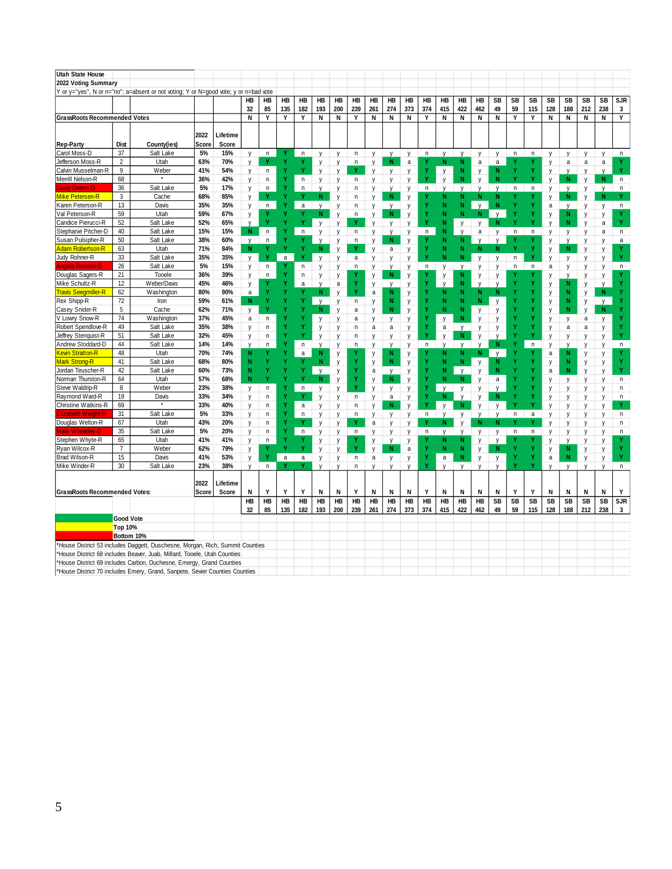| <b>Utah State House</b>                      |                      |                                                                                      |            |            |                   |         |              |              |              |                   |        |             |              |           |             |              |              |                   |                   |              |             |        |              |             |              |              |
|----------------------------------------------|----------------------|--------------------------------------------------------------------------------------|------------|------------|-------------------|---------|--------------|--------------|--------------|-------------------|--------|-------------|--------------|-----------|-------------|--------------|--------------|-------------------|-------------------|--------------|-------------|--------|--------------|-------------|--------------|--------------|
| 2022 Voting Summary                          |                      |                                                                                      |            |            |                   |         |              |              |              |                   |        |             |              |           |             |              |              |                   |                   |              |             |        |              |             |              |              |
|                                              |                      | Y or y="yes", N or n="no"; a=absent or not voting; Y or N=good vote; y or n=bad vote |            |            |                   |         |              |              |              |                   |        |             |              |           |             |              |              |                   |                   |              |             |        |              |             |              |              |
|                                              |                      |                                                                                      |            |            | НB                | HB      | HB           | HB           | HB           | HB                | HB     | HB          | HB           | HB        | HB          | HB           | HB           | HB                | SB                | SB           | SB          | SB     | SB           | SB          | SB           | SJR          |
|                                              |                      |                                                                                      |            |            | 32                | 85      | 135          | 182          | 193          | 200               | 239    | 261         | 274          | 373       | 374         | 415          | 422          | 462               | 49                | 59           | 115         | 128    | 188          | 212         | 238          | 3            |
| <b>GrassRoots Recommended Votes</b>          |                      |                                                                                      |            |            | N                 | Y       | Υ            | Υ            | N            | N                 | Y      | N           | N            | N         | Y           | N            | N            | N                 | N                 | Υ            | Y           | N      | N            | N           | N            | Υ            |
|                                              |                      |                                                                                      |            |            |                   |         |              |              |              |                   |        |             |              |           |             |              |              |                   |                   |              |             |        |              |             |              |              |
|                                              |                      |                                                                                      | 2022       | Lifetime   |                   |         |              |              |              |                   |        |             |              |           |             |              |              |                   |                   |              |             |        |              |             |              |              |
| <b>Rep-Party</b>                             | Dist                 | County(ies)                                                                          | Score      | Score      |                   |         |              |              |              |                   |        |             |              |           |             |              |              |                   |                   |              |             |        |              |             |              |              |
| Carol Moss-D                                 | 37                   | Salt Lake                                                                            | $5%$       | 15%        | у                 | n       |              | n            | у            | у                 | n      | у           | y            | у         | n           | у            | y            | у                 | у                 | n            | n           | у      | у            | у           | у            | n            |
| Jefferson Moss-R                             | $\overline{2}$       | Utah                                                                                 | 63%        | 70%        | y                 | Y       | Y            | Υ            | y            | y                 | n      | y           | N            | a         | Υ           | N            | N            | a                 | $\mathsf{a}$      | Y            | Y           | y      | a            | $\mathsf a$ | a            | Y            |
| Calvin Musselman-R                           | 9                    | Weber                                                                                | 41%        | 54%        | у                 | n       | Y            |              | y            | y                 |        | y           | y            | y         | Y           | y            | N            | y                 | N                 | Y            | Y           | у      | V            | y           | $\mathsf{V}$ | Y            |
| Merrill Nelson-R                             | 68                   | $^\star$                                                                             | 36%        | 42%        | у                 | n       |              | n            | у            | у                 | n      | у           | y            | y         | Ÿ           | y            | N            | y                 | N                 |              |             | V      | N            | y           | N            | n            |
| <b>Doua Owens-D</b>                          | 36                   | Salt Lake                                                                            | 5%         | 17%        | y                 | n       | Ÿ            | n            | V            | у                 | n      | y           | V            | y         | n           | V            | $\mathsf{V}$ | V                 | V                 | $\mathsf{n}$ | n           | у      | V            | y           | V            | n            |
| Mike Petersen-R                              | 3                    | Cache                                                                                | 68%        | 85%        | у                 |         |              |              | N            | y                 | n      | у           | N            | y         |             | N            | N            |                   | N                 |              |             | y      | N            | y           | N            | Y            |
| Karen Peterson-R                             | 13                   | Davis                                                                                | 35%        | 35%        | y                 | $\sf n$ |              | a            | $\mathsf{v}$ | y                 | n      | y           | V            | у         |             | N            | N            | $\mathsf{v}$      | N                 | N            | ۷           | a      | $\mathsf{V}$ | y           | $\mathsf{y}$ | $\mathsf n$  |
| Val Peterson-R                               | 59                   | Utah                                                                                 | 59%        | 67%        | у                 | ٧       |              |              | N            | у                 | n      | у           | N            | y         |             | N            | N            | N                 | y                 | Y<br>N       | Y<br>۷      | у      | N            | у           | y            |              |
| Candice Pierucci-R                           | 52<br>40             | Salt Lake                                                                            | 52%        | 65%        | V<br>N            |         |              |              | y            | y                 |        | y           | y            | y         | Y           | N            | y            | y                 | N                 |              |             | V      | N            | y           | a            | Y            |
| Stephanie Pitcher-D                          |                      | Salt Lake                                                                            | 15%        | 15%        |                   | $\sf n$ |              | $\mathsf{n}$ | y            | у                 | n      | y           | $\mathsf{V}$ | y         | n           | N            | $\mathsf{v}$ | a                 | y                 | n            | $\mathsf n$ | y      | y            | y           | a            | n            |
| Susan Pulsipher-R<br><b>Adam Robertson-R</b> | 50<br>63             | Salt Lake<br>Utah                                                                    | 38%<br>71% | 60%<br>84% | V<br>N            | n       | Ÿ            | Ÿ            | y<br>N       | y                 | n<br>Y | y<br>V      | N<br>a       | y         | Y           | N<br>N       | N<br>N       | $\mathsf{v}$<br>N | $\mathsf{V}$<br>N | N            | Y           | y      | V<br>N       | y           | y            | a<br>Y       |
| Judy Rohner-R                                | 33                   | Salt Lake                                                                            | 35%        | 35%        | y                 | Y       | $\mathsf{a}$ | ۷            | y            | y<br>y            | a      | V           | V            | y<br>y    | Ÿ           | N            | N            | V                 | y                 | n            | ۷           | y<br>y | y            | y<br>y      | y<br>y       | Y            |
|                                              | 26                   | Salt Lake                                                                            | 5%         | 15%        | у                 | n       |              | n            | у            | y                 | n      | y           | $\mathsf{V}$ | у         | $\mathsf n$ | у            | $\mathsf{y}$ | y                 | y                 | n            | $\mathsf n$ | a      | y            | y           | y            | $\mathsf n$  |
| Douglas Sagers-R                             | 21                   | Tooele                                                                               | 36%        | 39%        | y                 | n       | Y            | n            | у            | у                 |        | y           | N            | y         |             | у            | N            | y                 | y                 |              |             | y      | v            | y           | y            |              |
| Mike Schultz-R                               | 12                   | Weber/Davis                                                                          | 45%        | 46%        | у                 | Y       |              | a            | y            | а                 | Y      | у           | N            | y         | Ÿ           | $\mathsf{v}$ | N            | $\mathsf{V}$      | V                 |              |             | у      | N            | y           | V            | Y            |
| <b>Travis Seegmiller-R</b>                   | 62                   | Washington                                                                           | 80%        | 90%        | a                 | Y       |              |              | N            | y                 |        | $\mathsf a$ | N            | y         |             | N            | N            | N                 | N                 |              |             | y      | N            | y           | $\mathbf N$  | Y            |
| Rex Shipp-R                                  | 72                   | Iron                                                                                 | 59%        | 61%        | N                 |         |              | Ÿ            | V            | y                 | n      | у           | N            | y         |             | N            | N            | N                 | V                 |              |             | у      | N            | y           | V            |              |
| Casey Snider-R                               | 5                    | Cache                                                                                | 62%        | 71%        | y                 | ٧       |              |              | N            | y                 | a      | у           | N            | у         |             | N            | N            | y                 | y                 |              |             | у      | N            | y           | N            |              |
| V Lowry Snow-R                               | 74                   | Washington                                                                           | 37%        | 45%        | a                 | n       |              |              | у            | y                 | a      | у           | у            | y         | Y           | у            | N            | y                 | y                 | Y            |             | у      | у            | a           | у            | Y            |
| Robert Spendlove-R                           | 49                   | Salt Lake                                                                            | 35%        | 38%        | y                 | n       |              |              | у            | у                 | n      | a           | a            | y         | Y           | a            | у            | у                 | y                 | N            |             | у      | a            | a           | у            | Y            |
| Jeffrey Stenquist-R                          | 51                   | Salt Lake                                                                            | 32%        | 45%        | y                 | n       | Y            |              | y            | у                 | n      | V           | y            | y         | Y           | y            | N            | $\mathsf{y}$      | y                 | Y            |             | V      | y            | V           | y            | Y            |
| Andrew Stoddard-D                            | 44                   | Salt Lake                                                                            | 14%        | 14%        | V                 | n       | Y            | $\mathsf n$  | y            | у                 | n      | у           | y            | y         | n           | V            | $\mathsf{V}$ | $\mathsf{v}$      | N                 | Y            | $\mathsf n$ |        | V            | y           | y            | $\mathsf n$  |
| <b>Kevin Stratton-R</b>                      | 48                   | Utah                                                                                 | 70%        | 74%        | N                 |         | Ý            | a            | N            | у                 |        | у           | N            | y         |             | N            | N            | N                 | $\mathsf{v}$      |              |             | a      | N            | y           | y            | Y            |
| Mark Strong-R                                | 41                   | Salt Lake                                                                            | 68%        | 80%        |                   | Ÿ       |              |              | N            | y                 | Y      | y           | N            | y         |             | N            | N            | $\mathsf{V}$      | N                 |              | Y           | y      | N            | у           | y            | Y            |
| Jordan Teuscher-R                            | 42                   | Salt Lake                                                                            | 60%        | 73%        | N                 | Ÿ       | Y            |              | $\mathsf{v}$ | у                 | Y      | a           | $\mathsf{V}$ | у         | Ÿ           | N            | $\mathsf{v}$ | V                 | N                 |              | ۷           | a      | N            | y           | V            | Y            |
| Norman Thurston-R                            | 64                   | Utah                                                                                 | 57%        | 68%        | N                 | Ÿ       | Ý            |              | N            | y                 | Y      | y           | N            | y         |             | N            | N            | $\mathsf{v}$      | $\mathsf a$       |              |             | y      | у            | у           | y            | $\mathsf n$  |
| Steve Waldrip-R                              | 8                    | Weber                                                                                | 23%        | 38%        | y                 | n       | Y            | $\mathsf{n}$ | y            | y                 | Ÿ      | y           | $\mathsf{V}$ | y         |             | $\mathsf{v}$ | $\mathsf{V}$ | V                 | $\mathsf{v}$      |              |             | y      | V            | y           | y            | n            |
| Raymond Ward-R                               | 19                   | Davis                                                                                | 33%        | 34%        | y                 | n       | Ÿ            |              | y            | у                 | n      | y           | a            | y         | Ÿ           | N            | $\mathsf{v}$ | y                 | N                 |              |             | у      | y            | y           | y            | n            |
| Christine Watkins-R                          | 69                   |                                                                                      | 33%        | 40%        | y                 | n       | Ÿ            | a            | y            | y                 | n      | y           | N            | y         | Y           |              | N            | V                 | V                 | Ń            | ۷           | y      | V            | y           | V            | Y            |
| <b>Hizabeth Weight-D</b>                     | 31                   | Salt Lake                                                                            | 5%         | 33%        | у                 | n       | Ý            | n            | y            | у                 | n      | у           | y            | y         | n           | V            | y            | V                 | V                 | $\mathsf{n}$ | a           | y      | y            | y           | y            | n            |
| Douglas Welton-R                             | 67                   | Utah                                                                                 | 43%        | 20%        | y                 | n       | Y            |              | y            | y                 |        | a           | y            | y         |             | N            | y            | N                 | N                 |              |             | V      | y            | y           | y            | n            |
| Aark Wheatlev-D                              | 35                   | Salt Lake                                                                            | 5%         | 20%        | y                 | n       | Y            | $\mathsf{n}$ | y            | у                 | n      | V           | y            | у         | n           | V            | V            | y                 | y                 | n            | n           | y      | y            | y           | V            | n            |
| Stephen Whyte-R                              | 65<br>$\overline{7}$ | Utah                                                                                 | 41%<br>62% | 41%<br>79% | y                 | n<br>Υ  | ٧            | ٧            | у            | y                 |        | у           | y            | y         |             | N<br>N       | N<br>N       | y                 | $\mathsf{V}$<br>N |              |             | y      | y            | у           | y            | Y            |
| Ryan Wilcox-R<br>Brad Wilson-R               | 15                   | Weber<br>Davis                                                                       | 41%        | 53%        | у                 | ٧       | $\mathsf a$  | a            | y            | y                 |        | y           | N            | a         | Ÿ           | $\mathsf a$  | N            | y                 |                   | N            |             | у<br>a | N<br>N       | у           | y            | Y            |
| Mike Winder-R                                | 30                   | Salt Lake                                                                            | 23%        | 38%        | y<br>$\mathsf{v}$ | n       | Y            | Y            | у<br>V       | у<br>$\mathsf{v}$ | n<br>n | a           | y            | y<br>٧    | Y           |              |              | y                 | y<br>V            | N            |             |        |              | y           | y<br>V       | n            |
|                                              |                      |                                                                                      |            |            |                   |         |              |              |              |                   |        |             |              |           |             |              |              |                   |                   |              |             |        |              |             |              |              |
|                                              |                      |                                                                                      | 2022       | Lifetime   |                   |         |              |              |              |                   |        |             |              |           |             |              |              |                   |                   |              |             |        |              |             |              |              |
| GrassRoots Recommended Votes:                |                      |                                                                                      | Score      | Score      | N                 | Y       | Y            | Y            | N            | N                 | Υ      | N           | N            | N         | Y           | N            | N            | N                 | N                 | Y            | Y           | N      | N            | N           | Ν            | Y            |
|                                              |                      |                                                                                      |            |            | НB                | HB      | HB           | HB           | HB           | HB                | HB     | HB          | HB           | <b>HB</b> | HB          | HB           | HB           | HB                | SB                | SB           | SB          | SB     | SB           | SB          | SB           | SJR          |
|                                              |                      |                                                                                      |            |            | 32                | 85      | 135          | 182          | 193          | 200               | 239    | 261         | 274          | 373       | 374         | 415          | 422          | 462               | 49                | 59           | 115         | 128    | 188          | 212         | 238          | $\mathbf{3}$ |
|                                              | Good Vote            |                                                                                      |            |            |                   |         |              |              |              |                   |        |             |              |           |             |              |              |                   |                   |              |             |        |              |             |              |              |
|                                              | Top 10%              |                                                                                      |            |            |                   |         |              |              |              |                   |        |             |              |           |             |              |              |                   |                   |              |             |        |              |             |              |              |
|                                              | Bottom 10%           |                                                                                      |            |            |                   |         |              |              |              |                   |        |             |              |           |             |              |              |                   |                   |              |             |        |              |             |              |              |
|                                              |                      | *House District 53 includes Daggett, Duschesne, Morgan, Rich, Summit Counties        |            |            |                   |         |              |              |              |                   |        |             |              |           |             |              |              |                   |                   |              |             |        |              |             |              |              |
|                                              |                      | House District 68 includes Beaver, Juab, Millard, Tooele, Utah Counties              |            |            |                   |         |              |              |              |                   |        |             |              |           |             |              |              |                   |                   |              |             |        |              |             |              |              |
|                                              |                      | *House District 69 includes Carbon, Duchesne, Emergy, Grand Counties                 |            |            |                   |         |              |              |              |                   |        |             |              |           |             |              |              |                   |                   |              |             |        |              |             |              |              |
|                                              |                      | *House District 70 includes Emery, Grand, Sanpete, Sevier Counties Counties          |            |            |                   |         |              |              |              |                   |        |             |              |           |             |              |              |                   |                   |              |             |        |              |             |              |              |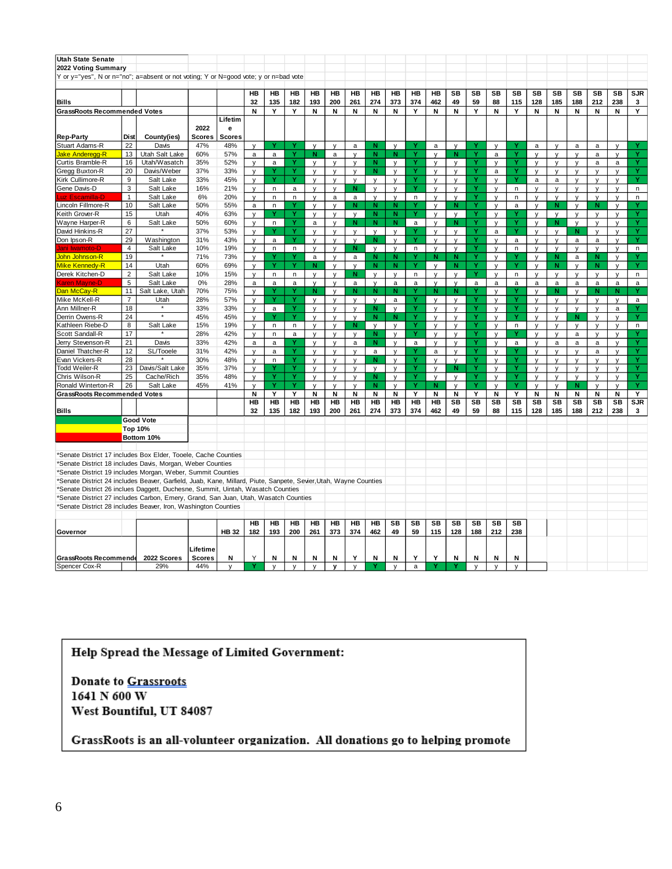| Utah State Senate                                                                                               |                      |                         |               |               |                   |                  |              |                   |                   |                  |                  |                  |                   |                  |                   |                 |                   |              |                   |                  |                  |                   |                  |                 |
|-----------------------------------------------------------------------------------------------------------------|----------------------|-------------------------|---------------|---------------|-------------------|------------------|--------------|-------------------|-------------------|------------------|------------------|------------------|-------------------|------------------|-------------------|-----------------|-------------------|--------------|-------------------|------------------|------------------|-------------------|------------------|-----------------|
| 2022 Voting Summary                                                                                             |                      |                         |               |               |                   |                  |              |                   |                   |                  |                  |                  |                   |                  |                   |                 |                   |              |                   |                  |                  |                   |                  |                 |
| Y or y="yes", N or n="no"; a=absent or not voting; Y or N=good vote; y or n=bad vote                            |                      |                         |               |               |                   |                  |              |                   |                   |                  |                  |                  |                   |                  |                   |                 |                   |              |                   |                  |                  |                   |                  |                 |
|                                                                                                                 |                      |                         |               |               |                   |                  |              |                   |                   |                  |                  |                  |                   |                  |                   |                 |                   |              |                   |                  |                  |                   |                  |                 |
| Bills                                                                                                           |                      |                         |               |               | <b>HB</b><br>32   | <b>HB</b><br>135 | HB<br>182    | HB<br>193         | <b>HB</b><br>200  | <b>HB</b><br>261 | <b>HB</b><br>274 | HB<br>373        | <b>HB</b><br>374  | <b>HB</b><br>462 | SB<br>49          | <b>SB</b><br>59 | SB<br>88          | SB<br>115    | <b>SB</b><br>128  | <b>SB</b><br>185 | <b>SB</b><br>188 | <b>SB</b><br>212  | <b>SB</b><br>238 | <b>SJR</b><br>3 |
| <b>GrassRoots Recommended Votes</b>                                                                             |                      |                         |               |               | N                 | Y                | Y            | N                 | N                 | N                | N                | N                | Y                 | Ν                | N                 | Y               | N                 | Y            | Ν                 | N                | Ν                | N                 | N                | Y               |
|                                                                                                                 |                      |                         | 2022          | Lifetim<br>е  |                   |                  |              |                   |                   |                  |                  |                  |                   |                  |                   |                 |                   |              |                   |                  |                  |                   |                  |                 |
| <b>Rep-Party</b>                                                                                                | Dist                 | County(ies)             | <b>Scores</b> | <b>Scores</b> |                   |                  |              |                   |                   |                  |                  |                  |                   |                  |                   |                 |                   |              |                   |                  |                  |                   |                  |                 |
| Stuart Adams-R                                                                                                  | 22                   | Davis                   | 47%           | 48%           | $\mathsf{v}$      |                  |              | $\mathsf{v}$      | $\mathsf{v}$      | $\mathsf{a}$     | N                | $\mathsf{v}$     |                   | $\mathsf a$      | $\mathsf{v}$      |                 | $\mathsf{v}$      | Y            | $\mathsf{a}$      | $\mathsf{v}$     | a                | a                 | $\mathsf{v}$     |                 |
| Jake Anderegg-R                                                                                                 | 13                   | Utah Salt Lake          | 60%           | 57%           | a                 | a                | Ÿ            | N                 | a                 | $\mathsf{v}$     | N                | N                | Ÿ                 | y                | N                 | Ÿ               | a                 | Ÿ            | $\mathsf{v}$      | y                | v                | a                 | $\mathsf{v}$     | Ÿ               |
| Curtis Bramble-R                                                                                                | 16                   | Utah/Wasatch            | 35%           | 52%           | y                 | a                | Y            | $\mathsf{v}$      | y                 | y                | N                | y                | Y                 | y                | y                 | Y               | y                 | Y            | y                 | у                | y                | a                 | $\mathsf{a}$     | Y               |
| Gregg Buxton-R                                                                                                  | 20                   | Davis/Weber             | 37%           | 33%           | y                 |                  | Ÿ            | V                 | y                 | y                | N                | y                | Ÿ                 | y                | y                 | Ÿ               | a                 | Ÿ            | y                 | $\mathsf{v}$     | V                | v                 | V                | Ÿ               |
| Kirk Cullimore-R                                                                                                | 9                    | Salt Lake               | 33%           | 45%           | $\mathsf{v}$      |                  | Ÿ            | $\vee$            | $\mathsf{v}$      | V                | $\mathsf{v}$     | $\mathsf{v}$     | Y                 | V                | V                 | Ÿ               | V                 | Y            | a                 | a                | V                | $\mathsf{v}$      | $\mathsf{v}$     | Y               |
| Gene Davis-D                                                                                                    | 3                    | Salt Lake               | 16%           | 21%           | $\mathsf{v}$      | n                | $\mathsf{a}$ | $\mathsf{v}$      | $\mathsf{v}$      | N                | $\mathsf{v}$     | $\mathsf{v}$     | Ÿ                 | v                | V                 | Ÿ               | V                 | n            | $\mathsf{V}$      | $\mathsf{v}$     | $\mathsf{V}$     | $\mathsf{v}$      | V                | n               |
| uz Escamilla-D                                                                                                  | $\mathbf{1}$         | Salt Lake               | 6%            | 20%           | y                 | n                | n<br>v       | У                 | a                 | a                | y                | y                | n                 | y                | y                 | Ÿ               | v                 | n            | y                 | y                | y                | y                 | v                | n               |
| Lincoln Fillmore-R                                                                                              | 10                   | Salt Lake               | 50%           | 55%           | a                 | n                |              | v                 | V                 | N                | N                | N                |                   | У                | N                 | Y               | V                 | a            | y                 | N                | v                | N                 | V                |                 |
| Keith Grover-R                                                                                                  | 15                   | Utah                    | 40%           | 63%           | y                 |                  | Y            | y                 | y                 | y                | N                | N                |                   | y                | y                 | Y               | y                 | Y            | y                 | y                | y                | y                 | y                |                 |
| Wayne Harper-R                                                                                                  | 6                    | Salt Lake               | 50%           | 60%           | $\mathsf{v}$      | $\sf n$          | Y<br>Ÿ       | $\mathsf{a}$      | y                 | N                | N                | $\mathbf N$      | $\mathsf a$       | $\mathsf{v}$     | N                 | Y               | y                 | Y            | y                 | N                | $\mathsf{v}$     | y                 | $\mathsf{V}$     | Y               |
| David Hinkins-R                                                                                                 | 27                   |                         | 37%           | 53%           | $\mathsf{v}$      |                  |              | V                 | $\mathsf{v}$      | y                | y                | y                |                   | y                | y                 | Ÿ               | a                 | Y            | $\mathsf{V}$      | $\mathsf{v}$     | N                | $\mathsf{v}$      | V                | Y               |
| Don Ipson-R                                                                                                     | 29<br>$\overline{4}$ | Washington              | 31%           | 43%           | $\mathsf{v}$      | $\mathsf{a}$     | Ÿ            | $\mathsf{v}$      | $\mathsf{v}$      | $\mathsf{v}$     | N                | y                | Y                 | y                | y                 | Y<br>Ÿ          | $\mathsf{v}$      | $\mathsf{a}$ | $\mathsf{v}$      | $\mathsf{v}$     | $\mathsf{a}$     | $\mathsf a$       | $\mathsf{v}$     | Y               |
| ani Iwamoto-I                                                                                                   | 19                   | Salt Lake<br>$^\star$   | 10%           | 19%           | y                 | n.               | n<br>Y       | y                 | y                 | N                | y                | y                | $\mathsf{n}$<br>Y | y                | y                 | Ÿ               | y                 | $\mathsf{n}$ | $\mathsf{v}$      | y                | v                | $\mathsf{v}$      | V                | n.              |
| John Johnson-R                                                                                                  |                      |                         | 71%           | 73%           | V                 | v                | Ÿ            | a                 | $\mathsf{v}$      | a                | N                | N<br>N           |                   | N.               | Ν<br>N            | Ÿ               | $\mathsf{v}$      | Y<br>Ÿ       | $\mathsf{v}$      | N                | a                | N                 | $\mathsf{v}$     | Y<br>Ÿ          |
| Mike Kennedy-R                                                                                                  | 14<br>$\overline{2}$ | Utah                    | 60%           | 69%           | y                 |                  |              | N                 | y                 | $\mathsf{v}$     | N                |                  |                   | y                |                   | Ÿ               | y                 |              | y                 | N                | y                | N                 | y                |                 |
| Derek Kitchen-D                                                                                                 | $\sqrt{5}$           | Salt Lake               | 10%           | 15%           | y                 | n                | n            | $\mathsf{v}$      | $\mathsf{V}$      | N                | $\mathsf{v}$     | V                | n                 | V                | V                 |                 | V                 | n            | $\mathsf{V}$      | $\mathsf{v}$     | v                | v                 | V                | n               |
| <b>Karen Mavne-D</b><br>Dan McCav-R                                                                             | 11                   | Salt Lake               | 0%            | 28%           | a                 | a                | a<br>Y       | $\mathsf{v}$      | $\mathsf{v}$      | a                | $\mathsf{v}$     | a<br>$\mathbf N$ | a                 | v                | V                 | a<br>Y          | a                 | a            | a                 | a                | a                | a                 | a                | a<br>Y          |
| Mike McKell-R                                                                                                   | $\overline{7}$       | Salt Lake, Utah<br>Utah | 70%<br>28%    | 75%<br>57%    | v                 | Y                | Y            | N                 | V                 | N                | N                |                  | Y<br>Y            | N                | N                 | Ÿ               | v                 | Y<br>Ÿ       | v                 | N                | V                | N.                | N                |                 |
| Ann Millner-R                                                                                                   | 18                   |                         | 33%           | 33%           | V                 | $\mathsf{a}$     | Y            | V                 | V                 | V                | V<br>N           | a<br>y           |                   | У                | y                 | Y               | v                 | Y            | $\vee$            | $\mathsf{v}$     | V                | V                 | $\vee$<br>a      | a               |
| Derrin Owens-R                                                                                                  | 24                   |                         | 45%           | 45%           | y<br>$\mathsf{v}$ |                  | Y            | y<br>$\mathsf{v}$ | У<br>y            | y<br>y           | N                | N                | Y                 | y<br>y           | y<br>y            | Y               | y<br>y            | Y            | y<br>y            | y<br>y           | y<br>N           | y<br>y            | $\mathsf{v}$     | Y               |
| Kathleen Riebe-D                                                                                                | 8                    | Salt Lake               | 15%           | 19%           | $\mathsf{v}$      | n                | n            | $\mathsf{v}$      |                   | N                |                  | y                |                   |                  |                   | Y               |                   | $\mathsf{n}$ |                   | $\mathsf{v}$     | v                |                   | V                | n               |
| Scott Sandall-R                                                                                                 | 17                   | $\star$                 | 28%           | 42%           | $\mathsf{v}$      | n                |              | $\mathsf{v}$      | y<br>$\mathsf{v}$ | y                | y<br>N           | y                | Y                 | y<br>y           | y<br>$\mathsf{v}$ | Y               | y<br>$\mathsf{v}$ | Y            | y<br>$\mathsf{V}$ | $\mathsf{v}$     |                  | y<br>$\mathsf{v}$ | $\mathsf{v}$     | Y               |
| Jerry Stevenson-R                                                                                               | 21                   | Davis                   | 33%           | 42%           | a                 | a                | $\mathsf a$  | v                 | $\mathsf{v}$      | a                | N                | V                | a                 |                  |                   | Ÿ               | V                 | a            | $\mathsf{v}$      | a                | a<br>a           | a                 | $\mathsf{v}$     | Ÿ               |
| Daniel Thatcher-R                                                                                               | 12                   | SL/Tooele               | 31%           | 42%           | $\mathsf{v}$      | a                | Y            | $\mathsf{v}$      | $\mathsf{v}$      | $\mathsf{v}$     | a                | y                |                   | y<br>$\mathsf a$ | y<br>v            | Y               | $\mathsf{v}$      | Υ            | $\mathsf{v}$      | $\mathsf{v}$     | V                | a                 | v                | Y               |
| Evan Vickers-R                                                                                                  | 28                   |                         | 30%           | 48%           | y                 | n                | Ÿ            | V                 | y                 | y                | N                | y                |                   | y                | V                 | Ÿ               | y                 | Ÿ            | y                 | $\mathsf{v}$     | y                | v                 | V                | Ÿ               |
| Todd Weiler-R                                                                                                   | 23                   | Davis/Salt Lake         | 35%           | 37%           | y                 |                  | Ÿ            | v                 | y                 | y                | $\mathsf{v}$     | y                | Y                 | y                | N                 | Y               | $\mathsf{v}$      | Y            | y                 | y                | y                | $\mathsf{v}$      | V                | Y               |
| Chris Wilson-R                                                                                                  | 25                   | Cache/Rich              | 35%           | 48%           | $\mathsf{v}$      | Ÿ                | Ÿ            | $\mathsf{v}$      | $\mathsf{v}$      | $\mathsf{v}$     | N                | y                | Ÿ                 | $\mathsf{v}$     | V                 | Ÿ               | y                 | Y            | y                 | $\mathsf{v}$     | $\mathsf{v}$     | $\mathsf{v}$      | $\mathsf{V}$     | Ÿ               |
| Ronald Winterton-R                                                                                              | 26                   | Salt Lake               | 45%           | 41%           | V                 |                  | Ÿ            | $\mathsf{v}$      | V                 | V                | N                | $\mathsf{v}$     |                   | N                | V                 | Ÿ               | V                 | Ÿ            | $\mathsf{v}$      | V                | N                | V                 | $\vee$           | Ÿ               |
| <b>GrassRoots Recommended Votes</b>                                                                             |                      |                         |               |               | N                 | Y                | Y            | N                 | N                 | N                | N                | N                | Y                 | N                | N                 | Y               | N                 | Y            | Ν                 | N                | Ν                | N                 | N                | Y               |
|                                                                                                                 |                      |                         |               |               | HB                | HB               | HB           | <b>HB</b>         | HВ                | <b>HB</b>        | HB               | <b>HB</b>        | HB                | HB               | SB                | SB              | SB                | <b>SB</b>    | SB                | SB               | <b>SB</b>        | SB                | SB               | SJR             |
| Bills                                                                                                           |                      |                         |               |               | 32                | 135              | 182          | 193               | 200               | 261              | 274              | 373              | 374               | 462              | 49                | 59              | 88                | 115          | 128               | 185              | 188              | 212               | 238              | 3               |
|                                                                                                                 |                      | <b>Good Vote</b>        |               |               |                   |                  |              |                   |                   |                  |                  |                  |                   |                  |                   |                 |                   |              |                   |                  |                  |                   |                  |                 |
|                                                                                                                 |                      | Top 10%                 |               |               |                   |                  |              |                   |                   |                  |                  |                  |                   |                  |                   |                 |                   |              |                   |                  |                  |                   |                  |                 |
|                                                                                                                 |                      | Bottom 10%              |               |               |                   |                  |              |                   |                   |                  |                  |                  |                   |                  |                   |                 |                   |              |                   |                  |                  |                   |                  |                 |
|                                                                                                                 |                      |                         |               |               |                   |                  |              |                   |                   |                  |                  |                  |                   |                  |                   |                 |                   |              |                   |                  |                  |                   |                  |                 |
| Senate District 17 includes Box Elder, Tooele, Cache Counties                                                   |                      |                         |               |               |                   |                  |              |                   |                   |                  |                  |                  |                   |                  |                   |                 |                   |              |                   |                  |                  |                   |                  |                 |
| Senate District 18 includes Davis, Morgan, Weber Counties                                                       |                      |                         |               |               |                   |                  |              |                   |                   |                  |                  |                  |                   |                  |                   |                 |                   |              |                   |                  |                  |                   |                  |                 |
| *Senate District 19 includes Morgan, Weber, Summit Counties                                                     |                      |                         |               |               |                   |                  |              |                   |                   |                  |                  |                  |                   |                  |                   |                 |                   |              |                   |                  |                  |                   |                  |                 |
| *Senate District 24 includes Beaver, Garfield, Juab, Kane, Millard, Piute, Sanpete, Sevier,Utah, Wayne Counties |                      |                         |               |               |                   |                  |              |                   |                   |                  |                  |                  |                   |                  |                   |                 |                   |              |                   |                  |                  |                   |                  |                 |
| *Senate District 26 inclues Daggett, Duchesne, Summit, Uintah, Wasatch Counties                                 |                      |                         |               |               |                   |                  |              |                   |                   |                  |                  |                  |                   |                  |                   |                 |                   |              |                   |                  |                  |                   |                  |                 |
| *Senate District 27 includes Carbon, Emery, Grand, San Juan, Utah, Wasatch Counties                             |                      |                         |               |               |                   |                  |              |                   |                   |                  |                  |                  |                   |                  |                   |                 |                   |              |                   |                  |                  |                   |                  |                 |
| *Senate District 28 includes Beaver, Iron, Washington Counties                                                  |                      |                         |               |               |                   |                  |              |                   |                   |                  |                  |                  |                   |                  |                   |                 |                   |              |                   |                  |                  |                   |                  |                 |
|                                                                                                                 |                      |                         |               |               |                   |                  |              |                   |                   |                  |                  |                  |                   |                  |                   |                 |                   |              |                   |                  |                  |                   |                  |                 |
|                                                                                                                 |                      |                         |               |               | HB                | HB               | HB           | HB                | HB                | HB               | HB               | SB               | <b>SB</b>         | <b>SB</b>        | <b>SB</b>         | <b>SB</b>       | SB                | SB           |                   |                  |                  |                   |                  |                 |
| <b>Governor</b>                                                                                                 |                      |                         |               | <b>HB32</b>   | 182               | 193              | 200          | 261               | 373               | 374              | 462              | 49               | 59                | 115              | 128               | 188             | 212               | 238          |                   |                  |                  |                   |                  |                 |
|                                                                                                                 |                      |                         |               |               |                   |                  |              |                   |                   |                  |                  |                  |                   |                  |                   |                 |                   |              |                   |                  |                  |                   |                  |                 |
|                                                                                                                 |                      |                         | Lifetime      |               |                   |                  |              |                   |                   |                  |                  |                  |                   |                  |                   |                 |                   |              |                   |                  |                  |                   |                  |                 |
| <b>GrassRoots Recommende</b>                                                                                    |                      | 2022 Scores             | <b>Scores</b> | N             | Y                 | N                | N            | N                 | N                 | Y                | N                | N                | Y                 | Υ                | N                 | N               | N                 | Ν            |                   |                  |                  |                   |                  |                 |
| Spencer Cox-R                                                                                                   |                      | 29%                     | 44%           | v             |                   | V                | V            | $\mathsf{v}$      | v                 | $\mathsf{V}$     |                  | v                | a                 |                  |                   | $\mathsf{v}$    | V                 | $\mathsf{v}$ |                   |                  |                  |                   |                  |                 |
|                                                                                                                 |                      |                         |               |               |                   |                  |              |                   |                   |                  |                  |                  |                   |                  |                   |                 |                   |              |                   |                  |                  |                   |                  |                 |

Help Spread the Message of Limited Government:

Donate to Grassroots 1641 N 600 W West Bountiful, UT 84087

GrassRoots is an all-volunteer organization. All donations go to helping promote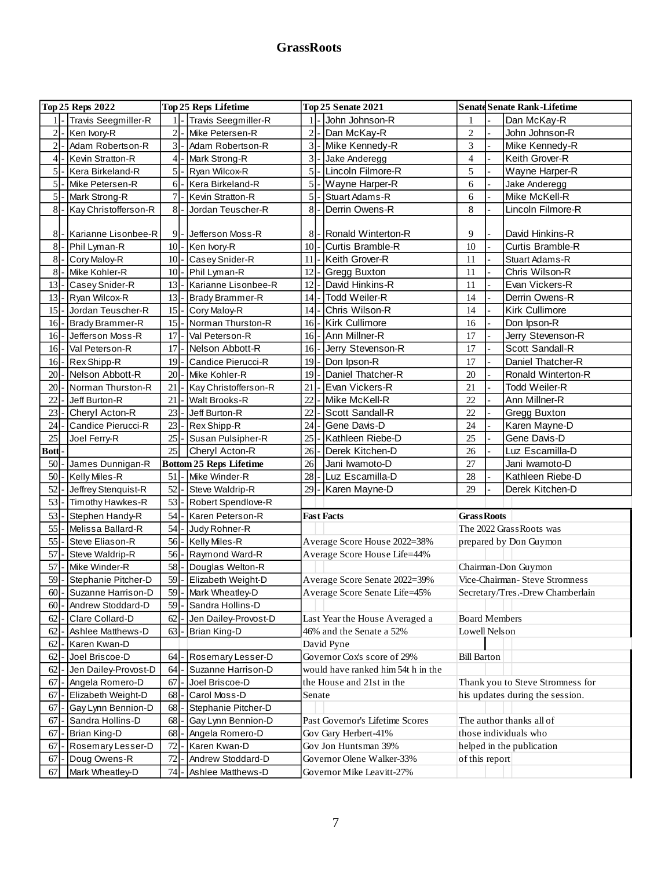## **GrassRoots**

|              | <b>Top 25 Reps 2022</b>                          | <b>Top 25 Reps Lifetime</b> |       |                                |                |  | <b>Top 25 Senate 2021</b>          | <b>Senate Senate Rank-Lifetime</b> |                       |                                  |  |  |  |  |
|--------------|--------------------------------------------------|-----------------------------|-------|--------------------------------|----------------|--|------------------------------------|------------------------------------|-----------------------|----------------------------------|--|--|--|--|
|              | 1  - Travis Seegmiller-R                         |                             |       | 1  - Travis Seegmiller-R       |                |  | John Johnson-R                     | 1                                  |                       | Dan McKay-R                      |  |  |  |  |
| $2$ -        | Ken Ivory-R                                      |                             | $2$ - | Mike Petersen-R                | $\overline{2}$ |  | Dan McKay-R                        | $\mathbf{2}$                       |                       | John Johnson-R                   |  |  |  |  |
| $2$ -        | Adam Robertson-R                                 |                             | $3$ - | Adam Robertson-R               | $\overline{3}$ |  | Mike Kennedy-R                     | 3                                  |                       | Mike Kennedy-R                   |  |  |  |  |
| $4$ -        | Kevin Stratton-R                                 |                             | $4$ - | Mark Strong-R                  | $\vert$ 3      |  | Jake Anderegg                      | $\overline{4}$                     |                       | Keith Grover-R                   |  |  |  |  |
| $5$ -        | Kera Birkeland-R                                 |                             | $5$ - | Ryan Wilcox-R                  | 5 <sub>l</sub> |  | Lincoln Filmore-R                  | 5                                  |                       | Wayne Harper-R                   |  |  |  |  |
| $5$ .        | Mike Petersen-R                                  |                             | $6-$  | Kera Birkeland-R               | $\mathfrak{S}$ |  | Wayne Harper-R                     | 6                                  |                       | Jake Anderegg                    |  |  |  |  |
| $5$ -        | Mark Strong-R                                    | $7$ .                       |       | Kevin Stratton-R               | $\mathfrak{S}$ |  | <b>Stuart Adams-R</b>              | 6                                  |                       | Mike McKell-R                    |  |  |  |  |
| $8$ -        | Kay Christofferson-R                             | 8                           |       | Jordan Teuscher-R              | 8              |  | Derrin Owens-R                     | 8                                  |                       | Lincoln Filmore-R                |  |  |  |  |
|              |                                                  |                             |       |                                |                |  |                                    |                                    |                       |                                  |  |  |  |  |
| 8            | Karianne Lisonbee-R                              |                             | $9$ . | Jefferson Moss-R               | 8              |  | Ronald Winterton-R                 | 9                                  |                       | David Hinkins-R                  |  |  |  |  |
| $8$ .        | Phil Lyman-R                                     | $10$ -                      |       | Ken Ivory-R                    | 10             |  | <b>Curtis Bramble-R</b>            | 10                                 |                       | Curtis Bramble-R                 |  |  |  |  |
| $8$ .        | Cory Maloy-R                                     | 10                          |       | Casey Snider-R                 | 11             |  | Keith Grover-R                     | 11                                 |                       | Stuart Adams-R                   |  |  |  |  |
| $8\,$        | Mike Kohler-R                                    | 10                          |       | Phil Lyman-R                   | 12             |  | Gregg Buxton                       | 11                                 |                       | Chris Wilson-R                   |  |  |  |  |
| 13           | Casey Snider-R                                   | 13                          |       | Karianne Lisonbee-R            | 12             |  | David Hinkins-R                    | 11                                 |                       | Evan Vickers-R                   |  |  |  |  |
| $13$ -       | Ryan Wilcox-R                                    | $13$ .                      |       | Brady Brammer-R                | 14             |  | Todd Weiler-R                      | 14                                 |                       | Derrin Owens-R                   |  |  |  |  |
| $15$ -       | Jordan Teuscher-R                                | 15                          |       | Cory Maloy-R                   | 14             |  | Chris Wilson-R                     | 14                                 |                       | Kirk Cullimore                   |  |  |  |  |
| $16$ -       | Brady Brammer-R                                  | $15$ .                      |       | Norman Thurston-R              | 16             |  | Kirk Cullimore                     | 16                                 |                       | Don Ipson-R                      |  |  |  |  |
| $16$ -       | Jefferson Moss-R                                 | 17                          |       | Val Peterson-R                 | 16             |  | Ann Millner-R                      | 17                                 |                       | Jerry Stevenson-R                |  |  |  |  |
| $16$ -       | Val Peterson-R                                   | $17$ .                      |       | Nelson Abbott-R                | 16             |  | Jerry Stevenson-R                  | 17                                 |                       | Scott Sandall-R                  |  |  |  |  |
| $16$ -       | Rex Shipp-R                                      | 19                          |       | Candice Pierucci-R             | 19             |  | Don Ipson-R                        | 17                                 |                       | Daniel Thatcher-R                |  |  |  |  |
| 20           | Nelson Abbott-R                                  | 20                          |       | Mike Kohler-R                  | 19             |  | Daniel Thatcher-R                  | 20                                 |                       | Ronald Winterton-R               |  |  |  |  |
| 20           | Norman Thurston-R                                | 21                          |       | Kay Christofferson-R           | 21             |  | Evan Vickers-R                     | 21                                 |                       | Todd Weiler-R                    |  |  |  |  |
| 22           | Jeff Burton-R                                    | 21                          |       | <b>Walt Brooks-R</b>           | 22             |  | Mike McKell-R                      | 22                                 |                       | Ann Millner-R                    |  |  |  |  |
| 23           | Cheryl Acton-R                                   | 23                          |       | Jeff Burton-R                  | 22             |  | Scott Sandall-R                    | 22                                 |                       | Gregg Buxton                     |  |  |  |  |
| 24           | Candice Pierucci-R                               | 23                          |       | Rex Shipp-R                    | 24             |  | Gene Davis-D                       | 24                                 |                       | Karen Mayne-D                    |  |  |  |  |
| 25           | Joel Ferry-R                                     | 25                          |       | Susan Pulsipher-R              | 25             |  | Kathleen Riebe-D                   | 25                                 |                       | Gene Davis-D                     |  |  |  |  |
| <b>Bottl</b> |                                                  | 25                          |       | Cheryl Acton-R                 | 26             |  | Derek Kitchen-D                    | 26                                 |                       | Luz Escamilla-D                  |  |  |  |  |
| 50           | James Dunnigan-R                                 |                             |       | <b>Bottom 25 Reps Lifetime</b> | 26             |  | Jani Iwamoto-D                     | 27                                 |                       | Jani Iwamoto-D                   |  |  |  |  |
| 50           | Kelly Miles-R                                    | 51                          |       | Mike Winder-R                  | 28             |  | Luz Escamilla-D                    | 28                                 |                       | Kathleen Riebe-D                 |  |  |  |  |
| 52           | Jeffrey Stenquist-R                              | 52                          |       | Steve Waldrip-R                | 29             |  | Karen Mayne-D                      | 29                                 |                       | Derek Kitchen-D                  |  |  |  |  |
| 53           | Timothy Hawkes-R                                 | 53                          |       | Robert Spendlove-R             |                |  |                                    |                                    |                       |                                  |  |  |  |  |
| 53           | Stephen Handy-R                                  | 54                          |       | Karen Peterson-R               |                |  | <b>Fast Facts</b>                  | <b>GrassRoots</b>                  |                       |                                  |  |  |  |  |
| 55           | Melissa Ballard-R                                | 54                          |       | Judy Rohner-R                  |                |  |                                    | The 2022 Grass Roots was           |                       |                                  |  |  |  |  |
| 55           | Steve Eliason-R                                  | 56                          |       | Kelly Miles-R                  |                |  | Average Score House 2022=38%       |                                    |                       | prepared by Don Guymon           |  |  |  |  |
| 57           | Steve Waldrip-R                                  | $56$ -                      |       | Raymond Ward-R                 |                |  | Average Score House Life=44%       |                                    |                       |                                  |  |  |  |  |
| 57           | Mike Winder-R                                    | $58$ -                      |       | Douglas Welton-R               |                |  |                                    |                                    |                       | Chairman-Don Guymon              |  |  |  |  |
| 59           | Stephanie Pitcher-D                              |                             |       | 59 - Elizabeth Weight-D        |                |  | Average Score Senate 2022=39%      |                                    |                       | Vice-Chairman- Steve Stromness   |  |  |  |  |
|              | 60  - Suzanne Harrison-D   59  - Mark Wheatley-D |                             |       |                                |                |  | Average Score Senate Life=45%      |                                    |                       | Secretary/Tres.-Drew Chamberlain |  |  |  |  |
| $60$ -       | Andrew Stoddard-D                                | 59                          |       | Sandra Hollins-D               |                |  |                                    |                                    |                       |                                  |  |  |  |  |
| 62           | Clare Collard-D                                  | 62                          |       | Jen Dailey-Provost-D           |                |  | Last Year the House Averaged a     | <b>Board Members</b>               |                       |                                  |  |  |  |  |
| 62           | Ashlee Matthews-D                                | 63                          |       | Brian King-D                   |                |  | 46% and the Senate a 52%           | Lowell Nelson                      |                       |                                  |  |  |  |  |
| 62           | Karen Kwan-D                                     |                             |       |                                |                |  | David Pyne                         |                                    |                       |                                  |  |  |  |  |
| 62           | Joel Briscoe-D                                   | 64                          |       | Rosemary Lesser-D              |                |  | Governor Cox's score of 29%        | <b>Bill Barton</b>                 |                       |                                  |  |  |  |  |
| 62           | Jen Dailey-Provost-D                             | 64                          |       | Suzanne Harrison-D             |                |  | would have ranked him 54t h in the |                                    |                       |                                  |  |  |  |  |
| 67           |                                                  | 67                          |       |                                |                |  | the House and 21st in the          |                                    |                       | Thank you to Steve Stromness for |  |  |  |  |
| 67           | Angela Romero-D                                  |                             |       | Joel Briscoe-D<br>Carol Moss-D |                |  |                                    |                                    |                       |                                  |  |  |  |  |
|              | Elizabeth Weight-D                               | 68                          |       |                                | Senate         |  |                                    |                                    |                       | his updates during the session.  |  |  |  |  |
| 67           | Gay Lynn Bennion-D                               | 68                          |       | Stephanie Pitcher-D            |                |  |                                    |                                    |                       |                                  |  |  |  |  |
| 67           | Sandra Hollins-D                                 | 68                          |       | Gay Lynn Bennion-D             |                |  | Past Governor's Lifetime Scores    |                                    |                       | The author thanks all of         |  |  |  |  |
| 67           | Brian King-D                                     | 68                          |       | Angela Romero-D                |                |  | Gov Gary Herbert-41%               |                                    | those individuals who |                                  |  |  |  |  |
| 67           | Rosemary Lesser-D                                | 72                          |       | Karen Kwan-D                   |                |  | Gov Jon Huntsman 39%               |                                    |                       | helped in the publication        |  |  |  |  |
| 67           | Doug Owens-R                                     | 72                          |       | Andrew Stoddard-D              |                |  | Governor Olene Walker-33%          | of this report                     |                       |                                  |  |  |  |  |
| 67           | Mark Wheatley-D                                  | 74                          |       | Ashlee Matthews-D              |                |  | Governor Mike Leavitt-27%          |                                    |                       |                                  |  |  |  |  |